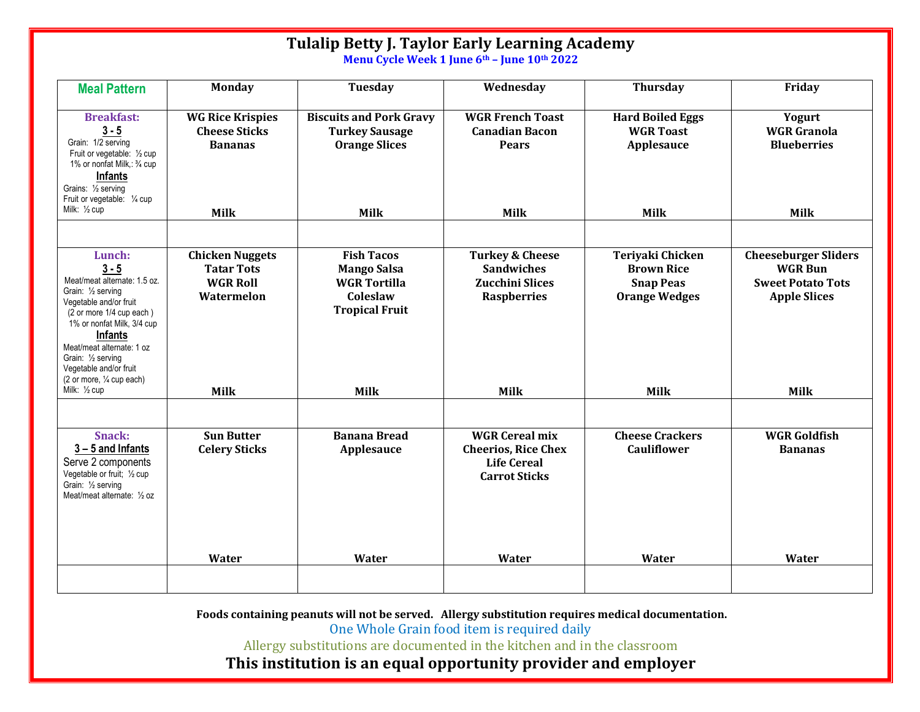| <b>Meal Pattern</b><br><b>Monday</b><br>Tuesday<br><b>Thursday</b><br>Friday<br>Wednesday<br><b>Breakfast:</b><br><b>WGR French Toast</b><br><b>WG Rice Krispies</b><br><b>Biscuits and Pork Gravy</b><br><b>Hard Boiled Eggs</b><br>Yogurt<br>$3 - 5$<br><b>Cheese Sticks</b><br><b>Canadian Bacon</b><br><b>WGR Toast</b><br><b>WGR</b> Granola<br><b>Turkey Sausage</b><br>Grain: 1/2 serving<br><b>Blueberries</b><br><b>Bananas</b><br><b>Orange Slices</b><br><b>Pears</b><br>Applesauce<br>Fruit or vegetable: 1/2 cup<br>1% or nonfat Milk,: 3/4 cup<br><b>Infants</b><br>Grains: 1/2 serving<br>Fruit or vegetable: 1/4 cup<br>Milk: 1/2 cup<br><b>Milk</b><br><b>Milk</b><br><b>Milk</b><br><b>Milk</b><br><b>Milk</b><br><b>Fish Tacos</b><br>Teriyaki Chicken<br><b>Chicken Nuggets</b><br><b>Turkey &amp; Cheese</b><br><b>Cheeseburger Sliders</b><br>Lunch:<br>$3 - 5$<br><b>Tatar Tots</b><br><b>Mango Salsa</b><br><b>Sandwiches</b><br><b>Brown Rice</b><br><b>WGR Bun</b><br>Meat/meat alternate: 1.5 oz.<br><b>WGR Roll</b><br><b>WGR Tortilla</b><br>Zucchini Slices<br><b>Snap Peas</b><br><b>Sweet Potato Tots</b><br>Grain: 1/2 serving<br>Coleslaw<br><b>Apple Slices</b><br>Watermelon<br><b>Raspberries</b><br><b>Orange Wedges</b><br>Vegetable and/or fruit<br><b>Tropical Fruit</b><br>(2 or more 1/4 cup each)<br>1% or nonfat Milk, 3/4 cup<br>Infants<br>Meat/meat alternate: 1 oz<br>Grain: 1/2 serving<br>Vegetable and/or fruit<br>(2 or more, 1/4 cup each)<br>Milk: 1/2 cup<br><b>Milk</b><br><b>Milk</b><br><b>Milk</b><br><b>Milk</b><br><b>Milk</b><br><b>WGR Goldfish</b><br><b>Sun Butter</b><br><b>WGR Cereal mix</b><br><b>Cheese Crackers</b><br><b>Snack:</b><br><b>Banana Bread</b><br>$3 - 5$ and Infants<br><b>Celery Sticks</b><br><b>Cauliflower</b><br>Applesauce<br><b>Cheerios, Rice Chex</b><br><b>Bananas</b><br>Serve 2 components<br><b>Life Cereal</b><br>Vegetable or fruit; 1/2 cup<br><b>Carrot Sticks</b><br>Grain: 1/2 serving<br>Meat/meat alternate: 1/2 oz |  | <b>Tulalip Betty J. Taylor Early Learning Academy</b> | Menu Cycle Week 1 June 6th - June 10th 2022 |  |
|--------------------------------------------------------------------------------------------------------------------------------------------------------------------------------------------------------------------------------------------------------------------------------------------------------------------------------------------------------------------------------------------------------------------------------------------------------------------------------------------------------------------------------------------------------------------------------------------------------------------------------------------------------------------------------------------------------------------------------------------------------------------------------------------------------------------------------------------------------------------------------------------------------------------------------------------------------------------------------------------------------------------------------------------------------------------------------------------------------------------------------------------------------------------------------------------------------------------------------------------------------------------------------------------------------------------------------------------------------------------------------------------------------------------------------------------------------------------------------------------------------------------------------------------------------------------------------------------------------------------------------------------------------------------------------------------------------------------------------------------------------------------------------------------------------------------------------------------------------------------------------------------------------------------------------------------------------------------------------------------------------------------------------|--|-------------------------------------------------------|---------------------------------------------|--|
|                                                                                                                                                                                                                                                                                                                                                                                                                                                                                                                                                                                                                                                                                                                                                                                                                                                                                                                                                                                                                                                                                                                                                                                                                                                                                                                                                                                                                                                                                                                                                                                                                                                                                                                                                                                                                                                                                                                                                                                                                                |  |                                                       |                                             |  |
|                                                                                                                                                                                                                                                                                                                                                                                                                                                                                                                                                                                                                                                                                                                                                                                                                                                                                                                                                                                                                                                                                                                                                                                                                                                                                                                                                                                                                                                                                                                                                                                                                                                                                                                                                                                                                                                                                                                                                                                                                                |  |                                                       |                                             |  |
|                                                                                                                                                                                                                                                                                                                                                                                                                                                                                                                                                                                                                                                                                                                                                                                                                                                                                                                                                                                                                                                                                                                                                                                                                                                                                                                                                                                                                                                                                                                                                                                                                                                                                                                                                                                                                                                                                                                                                                                                                                |  |                                                       |                                             |  |
|                                                                                                                                                                                                                                                                                                                                                                                                                                                                                                                                                                                                                                                                                                                                                                                                                                                                                                                                                                                                                                                                                                                                                                                                                                                                                                                                                                                                                                                                                                                                                                                                                                                                                                                                                                                                                                                                                                                                                                                                                                |  |                                                       |                                             |  |
| Water<br>Water<br>Water<br>Water<br>Water                                                                                                                                                                                                                                                                                                                                                                                                                                                                                                                                                                                                                                                                                                                                                                                                                                                                                                                                                                                                                                                                                                                                                                                                                                                                                                                                                                                                                                                                                                                                                                                                                                                                                                                                                                                                                                                                                                                                                                                      |  |                                                       |                                             |  |

Foods containing peanuts will not be served. Allergy substitution requires medical documentation.

One Whole Grain food item is required daily

Allergy substitutions are documented in the kitchen and in the classroom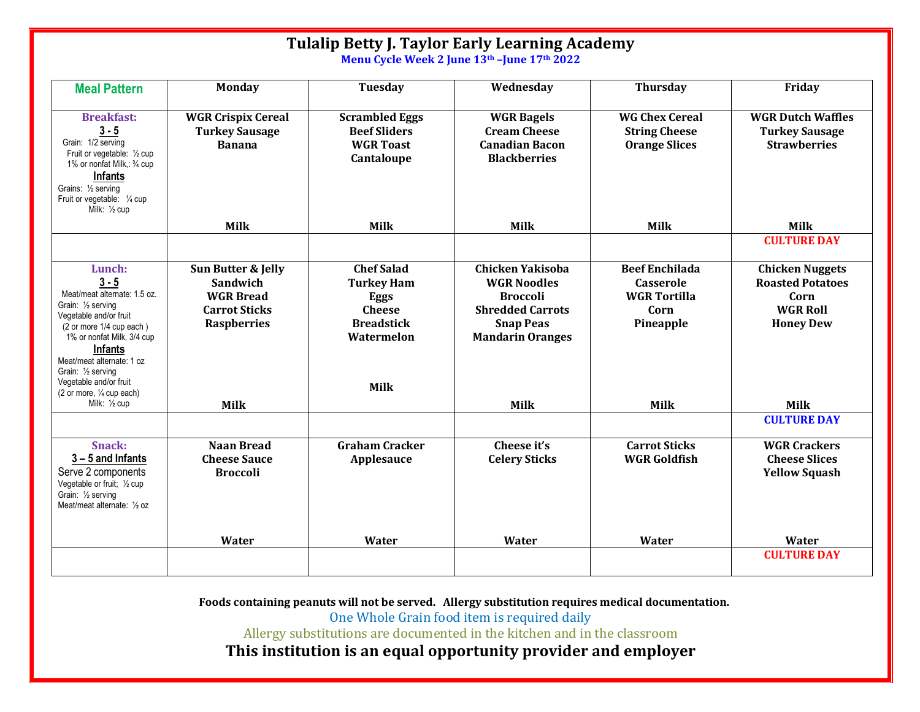| <b>Tulalip Betty J. Taylor Early Learning Academy</b><br>Menu Cycle Week 2 June 13th - June 17th 2022                                                                                                                                                                                                                                          |                                                                                                                        |                                                                                                                          |                                                                                                                                                           |                                                                                                      |                                                                                                                 |
|------------------------------------------------------------------------------------------------------------------------------------------------------------------------------------------------------------------------------------------------------------------------------------------------------------------------------------------------|------------------------------------------------------------------------------------------------------------------------|--------------------------------------------------------------------------------------------------------------------------|-----------------------------------------------------------------------------------------------------------------------------------------------------------|------------------------------------------------------------------------------------------------------|-----------------------------------------------------------------------------------------------------------------|
| <b>Meal Pattern</b>                                                                                                                                                                                                                                                                                                                            | <b>Monday</b>                                                                                                          | Tuesday                                                                                                                  | Wednesday                                                                                                                                                 | <b>Thursday</b>                                                                                      | Friday                                                                                                          |
| <b>Breakfast:</b><br>$3 - 5$<br>Grain: 1/2 serving<br>Fruit or vegetable: 1/2 cup<br>1% or nonfat Milk,: 3/4 cup<br><b>Infants</b><br>Grains: 1/2 serving<br>Fruit or vegetable: 1/4 cup<br>Milk: 1/2 cup                                                                                                                                      | <b>WGR Crispix Cereal</b><br><b>Turkey Sausage</b><br><b>Banana</b>                                                    | <b>Scrambled Eggs</b><br><b>Beef Sliders</b><br><b>WGR Toast</b><br>Cantaloupe                                           | <b>WGR Bagels</b><br><b>Cream Cheese</b><br><b>Canadian Bacon</b><br><b>Blackberries</b>                                                                  | <b>WG Chex Cereal</b><br><b>String Cheese</b><br><b>Orange Slices</b>                                | <b>WGR Dutch Waffles</b><br><b>Turkey Sausage</b><br><b>Strawberries</b>                                        |
|                                                                                                                                                                                                                                                                                                                                                | <b>Milk</b>                                                                                                            | <b>Milk</b>                                                                                                              | <b>Milk</b>                                                                                                                                               | <b>Milk</b>                                                                                          | <b>Milk</b><br><b>CULTURE DAY</b>                                                                               |
| Lunch:<br>$3 - 5$<br>Meat/meat alternate: 1.5 oz.<br>Grain: 1/2 serving<br>Vegetable and/or fruit<br>(2 or more 1/4 cup each)<br>1% or nonfat Milk, 3/4 cup<br><b>Infants</b><br>Meat/meat alternate: 1 oz<br>Grain: 1/ <sub>2</sub> serving<br>Vegetable and/or fruit<br>$(2 \text{ or more}, \frac{1}{4} \text{ cup each})$<br>Milk: 1/2 cup | Sun Butter & Jelly<br><b>Sandwich</b><br><b>WGR Bread</b><br><b>Carrot Sticks</b><br><b>Raspberries</b><br><b>Milk</b> | <b>Chef Salad</b><br><b>Turkey Ham</b><br><b>Eggs</b><br><b>Cheese</b><br><b>Breadstick</b><br>Watermelon<br><b>Milk</b> | <b>Chicken Yakisoba</b><br><b>WGR Noodles</b><br><b>Broccoli</b><br><b>Shredded Carrots</b><br><b>Snap Peas</b><br><b>Mandarin Oranges</b><br><b>Milk</b> | <b>Beef Enchilada</b><br><b>Casserole</b><br><b>WGR Tortilla</b><br>Corn<br>Pineapple<br><b>Milk</b> | <b>Chicken Nuggets</b><br><b>Roasted Potatoes</b><br>Corn<br><b>WGR Roll</b><br><b>Honey Dew</b><br><b>Milk</b> |
|                                                                                                                                                                                                                                                                                                                                                |                                                                                                                        |                                                                                                                          |                                                                                                                                                           |                                                                                                      | <b>CULTURE DAY</b>                                                                                              |
| <b>Snack:</b><br>$3 - 5$ and Infants<br>Serve 2 components<br>Vegetable or fruit; 1/2 cup<br>Grain: 1/2 serving<br>Meat/meat alternate: 1/2 oz                                                                                                                                                                                                 | <b>Naan Bread</b><br><b>Cheese Sauce</b><br><b>Broccoli</b>                                                            | <b>Graham Cracker</b><br>Applesauce                                                                                      | Cheese it's<br><b>Celery Sticks</b>                                                                                                                       | <b>Carrot Sticks</b><br><b>WGR Goldfish</b>                                                          | <b>WGR Crackers</b><br><b>Cheese Slices</b><br><b>Yellow Squash</b>                                             |
|                                                                                                                                                                                                                                                                                                                                                | Water                                                                                                                  | Water                                                                                                                    | Water                                                                                                                                                     | Water                                                                                                | Water                                                                                                           |
|                                                                                                                                                                                                                                                                                                                                                |                                                                                                                        |                                                                                                                          |                                                                                                                                                           |                                                                                                      | <b>CULTURE DAY</b>                                                                                              |

Foods containing peanuts will not be served. Allergy substitution requires medical documentation.

One Whole Grain food item is required daily

Allergy substitutions are documented in the kitchen and in the classroom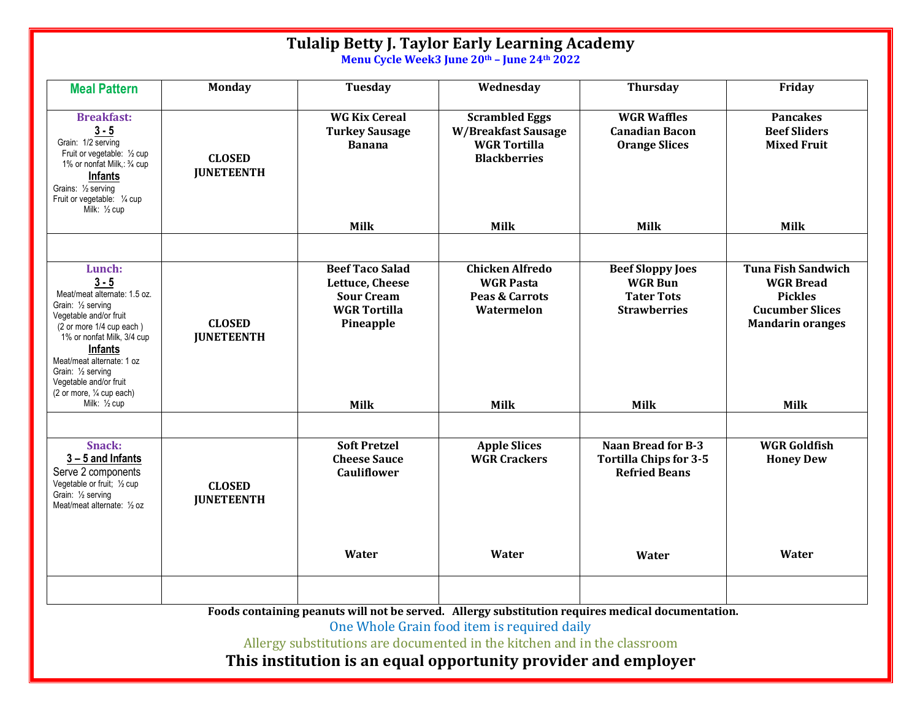| <b>Tulalip Betty J. Taylor Early Learning Academy</b><br>Menu Cycle Week3 June 20th - June 24th 2022                                                                                                                                                                                              |                                    |                                                                                                                   |                                                                                                      |                                                                                                      |                                                                                                                                     |  |
|---------------------------------------------------------------------------------------------------------------------------------------------------------------------------------------------------------------------------------------------------------------------------------------------------|------------------------------------|-------------------------------------------------------------------------------------------------------------------|------------------------------------------------------------------------------------------------------|------------------------------------------------------------------------------------------------------|-------------------------------------------------------------------------------------------------------------------------------------|--|
| <b>Meal Pattern</b>                                                                                                                                                                                                                                                                               | <b>Monday</b>                      | <b>Tuesday</b>                                                                                                    | Wednesday                                                                                            | <b>Thursday</b>                                                                                      | Friday                                                                                                                              |  |
| <b>Breakfast:</b><br>$3 - 5$<br>Grain: 1/2 serving<br>Fruit or vegetable: 1/2 cup<br>1% or nonfat Milk,: 3/4 cup<br><b>Infants</b><br>Grains: 1/2 serving<br>Fruit or vegetable: 1/4 cup<br>Milk: 1/2 cup                                                                                         | <b>CLOSED</b><br><b>JUNETEENTH</b> | <b>WG Kix Cereal</b><br><b>Turkey Sausage</b><br><b>Banana</b>                                                    | <b>Scrambled Eggs</b><br>W/Breakfast Sausage<br><b>WGR Tortilla</b><br><b>Blackberries</b>           | <b>WGR Waffles</b><br><b>Canadian Bacon</b><br><b>Orange Slices</b>                                  | <b>Pancakes</b><br><b>Beef Sliders</b><br><b>Mixed Fruit</b>                                                                        |  |
|                                                                                                                                                                                                                                                                                                   |                                    | <b>Milk</b>                                                                                                       | <b>Milk</b>                                                                                          | <b>Milk</b>                                                                                          | <b>Milk</b>                                                                                                                         |  |
| Lunch:<br>$3 - 5$<br>Meat/meat alternate: 1.5 oz.<br>Grain: 1/2 serving<br>Vegetable and/or fruit<br>(2 or more 1/4 cup each)<br>1% or nonfat Milk, 3/4 cup<br>Infants<br>Meat/meat alternate: 1 oz<br>Grain: 1/2 serving<br>Vegetable and/or fruit<br>(2 or more, 1/4 cup each)<br>Milk: 1/2 cup | <b>CLOSED</b><br><b>JUNETEENTH</b> | <b>Beef Taco Salad</b><br>Lettuce, Cheese<br><b>Sour Cream</b><br><b>WGR Tortilla</b><br>Pineapple<br><b>Milk</b> | <b>Chicken Alfredo</b><br><b>WGR Pasta</b><br><b>Peas &amp; Carrots</b><br>Watermelon<br><b>Milk</b> | <b>Beef Sloppy Joes</b><br><b>WGR Bun</b><br><b>Tater Tots</b><br><b>Strawberries</b><br><b>Milk</b> | <b>Tuna Fish Sandwich</b><br><b>WGR Bread</b><br><b>Pickles</b><br><b>Cucumber Slices</b><br><b>Mandarin oranges</b><br><b>Milk</b> |  |
| Snack:<br>$3 - 5$ and Infants<br>Serve 2 components<br>Vegetable or fruit; 1/2 cup<br>Grain: 1/2 serving<br>Meat/meat alternate: 1/2 oz                                                                                                                                                           | <b>CLOSED</b><br><b>JUNETEENTH</b> | <b>Soft Pretzel</b><br><b>Cheese Sauce</b><br><b>Cauliflower</b><br>Water                                         | <b>Apple Slices</b><br><b>WGR Crackers</b><br>Water                                                  | <b>Naan Bread for B-3</b><br><b>Tortilla Chips for 3-5</b><br><b>Refried Beans</b><br>Water          | <b>WGR Goldfish</b><br><b>Honey Dew</b><br><b>Water</b>                                                                             |  |
|                                                                                                                                                                                                                                                                                                   |                                    |                                                                                                                   |                                                                                                      |                                                                                                      |                                                                                                                                     |  |

Foods containing peanuts will not be served. Allergy substitution requires medical documentation. One Whole Grain food item is required daily

Allergy substitutions are documented in the kitchen and in the classroom